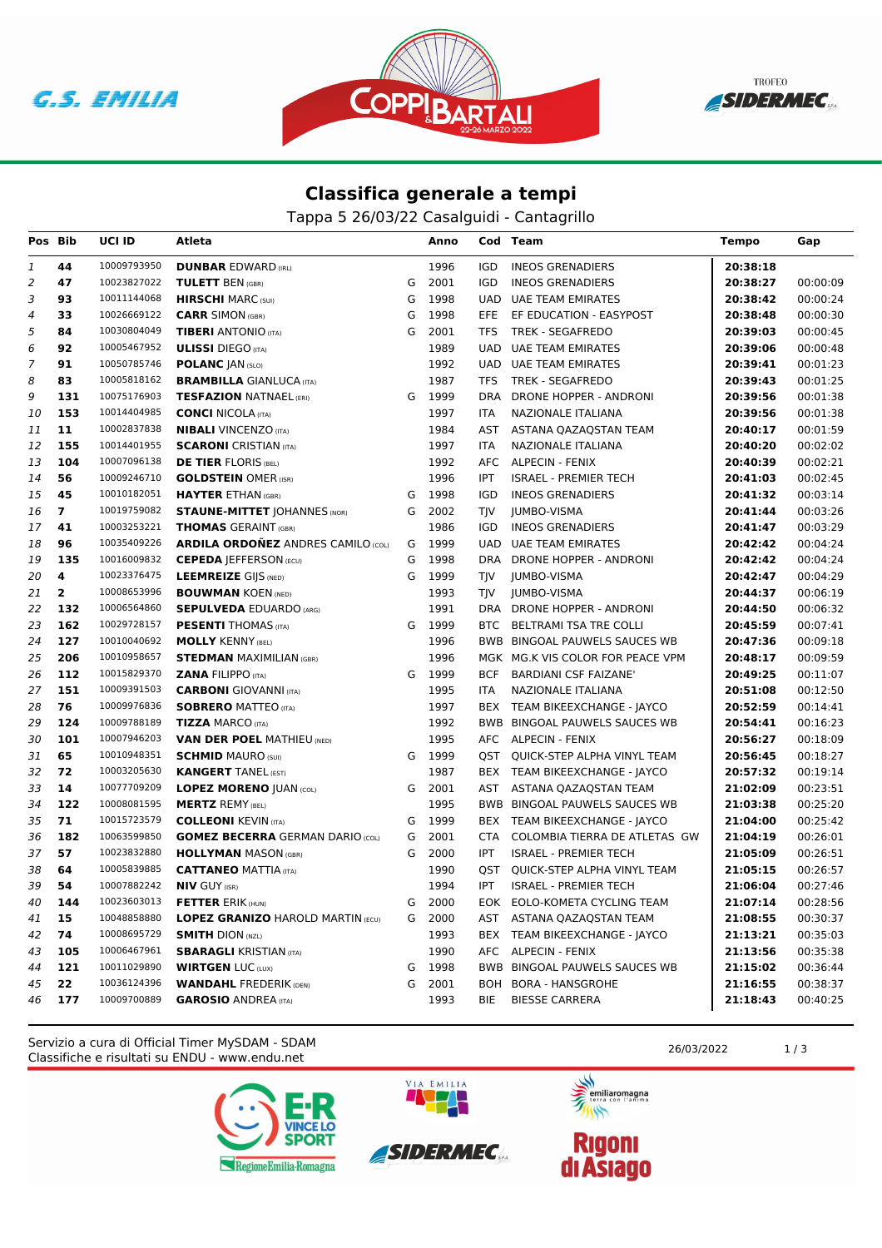**G.S. EMILIA** 





## **Classifica generale a tempi**

Tappa 5 26/03/22 Casalguidi - Cantagrillo

| Pos Bib        |                | UCI ID      | Atleta                                    |   | Anno   |            | Cod Team                         | <b>Tempo</b> | Gap      |
|----------------|----------------|-------------|-------------------------------------------|---|--------|------------|----------------------------------|--------------|----------|
| 1              | 44             | 10009793950 | <b>DUNBAR EDWARD (IRL)</b>                |   | 1996   | IGD        | <b>INEOS GRENADIERS</b>          | 20:38:18     |          |
| 2              | 47             | 10023827022 | <b>TULETT BEN (GBR)</b>                   | G | 2001   | IGD        | <b>INEOS GRENADIERS</b>          | 20:38:27     | 00:00:09 |
| 3              | 93             | 10011144068 | <b>HIRSCHI</b> MARC (SUI)                 | G | 1998   | <b>UAD</b> | UAE TEAM EMIRATES                | 20:38:42     | 00:00:24 |
| 4              | 33             | 10026669122 | <b>CARR SIMON (GBR)</b>                   | G | 1998   | EFE        | EF EDUCATION - EASYPOST          | 20:38:48     | 00:00:30 |
| 5              | 84             | 10030804049 | <b>TIBERI</b> ANTONIO (ITA)               | G | 2001   | TFS        | <b>TREK - SEGAFREDO</b>          | 20:39:03     | 00:00:45 |
| 6              | 92             | 10005467952 | <b>ULISSI</b> DIEGO (ITA)                 |   | 1989   | <b>UAD</b> | UAE TEAM EMIRATES                | 20:39:06     | 00:00:48 |
| $\overline{7}$ | 91             | 10050785746 | <b>POLANC JAN (SLO)</b>                   |   | 1992   |            | UAD UAE TEAM EMIRATES            | 20:39:41     | 00:01:23 |
| 8              | 83             | 10005818162 | <b>BRAMBILLA GIANLUCA (ITA)</b>           |   | 1987   | TFS        | TREK - SEGAFREDO                 | 20:39:43     | 00:01:25 |
| 9              | 131            | 10075176903 | <b>TESFAZION NATNAEL (ERI)</b>            | G | 1999   | <b>DRA</b> | DRONE HOPPER - ANDRONI           | 20:39:56     | 00:01:38 |
| 10             | 153            | 10014404985 | <b>CONCI NICOLA (ITA)</b>                 |   | 1997   | ITA        | NAZIONALE ITALIANA               | 20:39:56     | 00:01:38 |
| 11             | 11             | 10002837838 | <b>NIBALI</b> VINCENZO (ITA)              |   | 1984   | AST        | ASTANA QAZAQSTAN TEAM            | 20:40:17     | 00:01:59 |
| 12             | 155            | 10014401955 | <b>SCARONI</b> CRISTIAN (ITA)             |   | 1997   | ITA        | NAZIONALE ITALIANA               | 20:40:20     | 00:02:02 |
| 13             | 104            | 10007096138 | <b>DE TIER FLORIS (BEL)</b>               |   | 1992   | AFC        | ALPECIN - FENIX                  | 20:40:39     | 00:02:21 |
| 14             | 56             | 10009246710 | <b>GOLDSTEIN OMER (ISR)</b>               |   | 1996   | IPT        | <b>ISRAEL - PREMIER TECH</b>     | 20:41:03     | 00:02:45 |
| 15             | 45             | 10010182051 | <b>HAYTER ETHAN (GBR)</b>                 | G | 1998   | <b>IGD</b> | <b>INEOS GRENADIERS</b>          | 20:41:32     | 00:03:14 |
| 16             | $\overline{7}$ | 10019759082 | <b>STAUNE-MITTET JOHANNES (NOR)</b>       | G | 2002   | <b>TJV</b> | <b>JUMBO-VISMA</b>               | 20:41:44     | 00:03:26 |
| 17             | 41             | 10003253221 | <b>THOMAS GERAINT (GBR)</b>               |   | 1986   | IGD        | <b>INEOS GRENADIERS</b>          | 20:41:47     | 00:03:29 |
| 18             | 96             | 10035409226 | <b>ARDILA ORDOÑEZ ANDRES CAMILO (COL)</b> | G | 1999   | <b>UAD</b> | <b>UAE TEAM EMIRATES</b>         | 20:42:42     | 00:04:24 |
| 19             | 135            | 10016009832 | <b>CEPEDA JEFFERSON (ECU)</b>             | G | 1998   | <b>DRA</b> | DRONE HOPPER - ANDRONI           | 20:42:42     | 00:04:24 |
| 20             | 4              | 10023376475 | <b>LEEMREIZE GIJS (NED)</b>               | G | 1999   | TJV        | JUMBO-VISMA                      | 20:42:47     | 00:04:29 |
| 21             | $\overline{2}$ | 10008653996 | <b>BOUWMAN KOEN (NED)</b>                 |   | 1993   | TJV        | <b>JUMBO-VISMA</b>               | 20:44:37     | 00:06:19 |
| 22             | 132            | 10006564860 | <b>SEPULVEDA EDUARDO (ARG)</b>            |   | 1991   |            | DRA DRONE HOPPER - ANDRONI       | 20:44:50     | 00:06:32 |
| 23             | 162            | 10029728157 | <b>PESENTI</b> THOMAS (ITA)               |   | G 1999 | BTC        | BELTRAMI TSA TRE COLLI           | 20:45:59     | 00:07:41 |
| 24             | 127            | 10010040692 | <b>MOLLY KENNY (BEL)</b>                  |   | 1996   |            | BWB BINGOAL PAUWELS SAUCES WB    | 20:47:36     | 00:09:18 |
| 25             | 206            | 10010958657 | <b>STEDMAN MAXIMILIAN (GBR)</b>           |   | 1996   |            | MGK MG.K VIS COLOR FOR PEACE VPM | 20:48:17     | 00:09:59 |
| 26             | 112            | 10015829370 | <b>ZANA FILIPPO (ITA)</b>                 | G | 1999   | <b>BCF</b> | <b>BARDIANI CSF FAIZANE'</b>     | 20:49:25     | 00:11:07 |
| 27             | 151            | 10009391503 | <b>CARBONI</b> GIOVANNI (ITA)             |   | 1995   | ITA        | NAZIONALE ITALIANA               | 20:51:08     | 00:12:50 |
| 28             | 76             | 10009976836 | <b>SOBRERO MATTEO (ITA)</b>               |   | 1997   |            | BEX TEAM BIKEEXCHANGE - JAYCO    | 20:52:59     | 00:14:41 |
| 29             | 124            | 10009788189 | <b>TIZZA MARCO (ITA)</b>                  |   | 1992   |            | BWB BINGOAL PAUWELS SAUCES WB    | 20:54:41     | 00:16:23 |
| 30             | 101            | 10007946203 | <b>VAN DER POEL MATHIEU (NED)</b>         |   | 1995   |            | AFC ALPECIN - FENIX              | 20:56:27     | 00:18:09 |
| 31             | 65             | 10010948351 | <b>SCHMID MAURO (SUI)</b>                 | G | 1999   |            | QST QUICK-STEP ALPHA VINYL TEAM  | 20:56:45     | 00:18:27 |
| 32             | 72             | 10003205630 | <b>KANGERT TANEL (EST)</b>                |   | 1987   |            | BEX TEAM BIKEEXCHANGE - JAYCO    | 20:57:32     | 00:19:14 |
| 33             | 14             | 10077709209 | <b>LOPEZ MORENO JUAN (COL)</b>            | G | 2001   | AST        | ASTANA QAZAQSTAN TEAM            | 21:02:09     | 00:23:51 |
| 34             | 122            | 10008081595 | <b>MERTZ REMY (BEL)</b>                   |   | 1995   |            | BWB BINGOAL PAUWELS SAUCES WB    | 21:03:38     | 00:25:20 |
| 35             | 71             | 10015723579 | <b>COLLEONI KEVIN (ITA)</b>               |   | G 1999 |            | BEX TEAM BIKEEXCHANGE - JAYCO    | 21:04:00     | 00:25:42 |
| 36             | 182            | 10063599850 | <b>GOMEZ BECERRA GERMAN DARIO (COL)</b>   | G | 2001   | <b>CTA</b> | COLOMBIA TIERRA DE ATLETAS GW    | 21:04:19     | 00:26:01 |
| 37             | 57             | 10023832880 | <b>HOLLYMAN MASON (GBR)</b>               | G | 2000   | <b>IPT</b> | <b>ISRAEL - PREMIER TECH</b>     | 21:05:09     | 00:26:51 |
| 38             | 64             | 10005839885 | <b>CATTANEO MATTIA (ITA)</b>              |   | 1990   | QST        | QUICK-STEP ALPHA VINYL TEAM      | 21:05:15     | 00:26:57 |
| 39             | 54             | 10007882242 | <b>NIV GUY (ISR)</b>                      |   | 1994   | IPT        | <b>ISRAEL - PREMIER TECH</b>     | 21:06:04     | 00:27:46 |
| 40             | 144            |             | 10023603013 <b>FETTER ERIK (HUN)</b>      |   | G 2000 |            | EOK EOLO-KOMETA CYCLING TEAM     | 21:07:14     | 00:28:56 |
| 41             | 15             | 10048858880 | <b>LOPEZ GRANIZO HAROLD MARTIN (ECU)</b>  |   | G 2000 |            | AST ASTANA QAZAQSTAN TEAM        | 21:08:55     | 00:30:37 |
| 42             | 74             | 10008695729 | <b>SMITH DION (NZL)</b>                   |   | 1993   |            | BEX TEAM BIKEEXCHANGE - JAYCO    | 21:13:21     | 00:35:03 |
| 43             | 105            | 10006467961 | <b>SBARAGLI KRISTIAN (ITA)</b>            |   | 1990   |            | AFC ALPECIN - FENIX              | 21:13:56     | 00:35:38 |
| 44             | 121            | 10011029890 | <b>WIRTGEN LUC (LUX)</b>                  | G | 1998   |            | BWB BINGOAL PAUWELS SAUCES WB    | 21:15:02     | 00:36:44 |
| 45             | 22             | 10036124396 | <b>WANDAHL FREDERIK (DEN)</b>             |   | G 2001 | BOH        | <b>BORA - HANSGROHE</b>          | 21:16:55     | 00:38:37 |
| 46             | 177            | 10009700889 | <b>GAROSIO ANDREA (ITA)</b>               |   | 1993   | BIE        | <b>BIESSE CARRERA</b>            | 21:18:43     | 00:40:25 |

Classifiche e risultati su ENDU - www.endu.net Servizio a cura di Official Timer MySDAM - SDAM 26/03/2022 1/3





VIA EMILIA



 $\overline{\mathscr{C}}$ 

**Rigoni<br>di Asiago**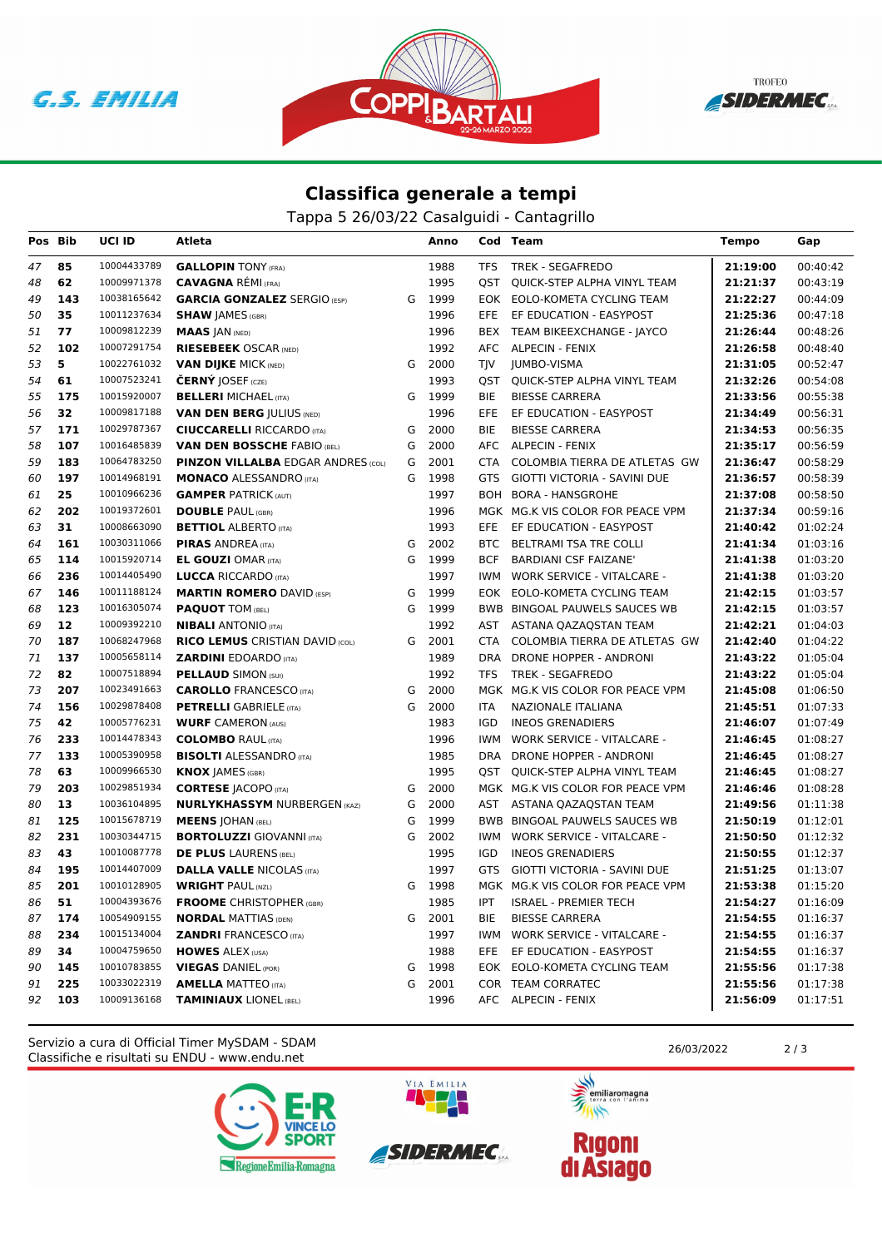





## **Classifica generale a tempi**

Tappa 5 26/03/22 Casalguidi - Cantagrillo

| Pos Bib |     | UCI ID      | Atleta                                    |   | Anno   |            | Cod Team                          | <b>Tempo</b> | Gap      |
|---------|-----|-------------|-------------------------------------------|---|--------|------------|-----------------------------------|--------------|----------|
| 47      | 85  | 10004433789 | <b>GALLOPIN TONY (FRA)</b>                |   | 1988   | TFS        | TREK - SEGAFREDO                  | 21:19:00     | 00:40:42 |
| 48      | 62  | 10009971378 | <b>CAVAGNA RÉMI (FRA)</b>                 |   | 1995   | QST        | QUICK-STEP ALPHA VINYL TEAM       | 21:21:37     | 00:43:19 |
| 49      | 143 | 10038165642 | <b>GARCIA GONZALEZ SERGIO (ESP)</b>       | G | 1999   |            | EOK EOLO-KOMETA CYCLING TEAM      | 21:22:27     | 00:44:09 |
| 50      | 35  | 10011237634 | <b>SHAW JAMES (GBR)</b>                   |   | 1996   |            | EFE EF EDUCATION - EASYPOST       | 21:25:36     | 00:47:18 |
| 51      | 77  | 10009812239 | <b>MAAS JAN (NED)</b>                     |   | 1996   |            | BEX TEAM BIKEEXCHANGE - JAYCO     | 21:26:44     | 00:48:26 |
| 52      | 102 | 10007291754 | <b>RIESEBEEK OSCAR (NED)</b>              |   | 1992   |            | AFC ALPECIN - FENIX               | 21:26:58     | 00:48:40 |
| 53      | 5   | 10022761032 | <b>VAN DIJKE MICK (NED)</b>               | G | 2000   | TJV        | JUMBO-VISMA                       | 21:31:05     | 00:52:47 |
| 54      | 61  | 10007523241 | <b>ČERNÝ JOSEF</b> (CZE)                  |   | 1993   | QST        | QUICK-STEP ALPHA VINYL TEAM       | 21:32:26     | 00:54:08 |
| 55      | 175 | 10015920007 | <b>BELLERI MICHAEL (ITA)</b>              |   | G 1999 | BIE        | <b>BIESSE CARRERA</b>             | 21:33:56     | 00:55:38 |
| 56      | 32  | 10009817188 | <b>VAN DEN BERG JULIUS (NED)</b>          |   | 1996   | EFE.       | EF EDUCATION - EASYPOST           | 21:34:49     | 00:56:31 |
| 57      | 171 | 10029787367 | <b>CIUCCARELLI RICCARDO (ITA)</b>         | G | 2000   | BIE        | <b>BIESSE CARRERA</b>             | 21:34:53     | 00:56:35 |
| 58      | 107 | 10016485839 | <b>VAN DEN BOSSCHE FABIO (BEL)</b>        | G | 2000   |            | AFC ALPECIN - FENIX               | 21:35:17     | 00:56:59 |
| 59      | 183 | 10064783250 | <b>PINZON VILLALBA EDGAR ANDRES (COL)</b> | G | 2001   | CTA        | COLOMBIA TIERRA DE ATLETAS GW     | 21:36:47     | 00:58:29 |
| 60      | 197 | 10014968191 | <b>MONACO ALESSANDRO (ITA)</b>            | G | 1998   |            | GTS GIOTTI VICTORIA - SAVINI DUE  | 21:36:57     | 00:58:39 |
| 61      | 25  | 10010966236 | <b>GAMPER PATRICK (AUT)</b>               |   | 1997   |            | BOH BORA - HANSGROHE              | 21:37:08     | 00:58:50 |
| 62      | 202 | 10019372601 | <b>DOUBLE PAUL (GBR)</b>                  |   | 1996   |            | MGK MG.K VIS COLOR FOR PEACE VPM  | 21:37:34     | 00:59:16 |
| 63      | 31  | 10008663090 | <b>BETTIOL ALBERTO (ITA)</b>              |   | 1993   | EFE        | EF EDUCATION - EASYPOST           | 21:40:42     | 01:02:24 |
| 64      | 161 | 10030311066 | <b>PIRAS ANDREA (ITA)</b>                 | G | 2002   | <b>BTC</b> | BELTRAMI TSA TRE COLLI            | 21:41:34     | 01:03:16 |
| 65      | 114 | 10015920714 | <b>EL GOUZI OMAR (ITA)</b>                | G | 1999   | <b>BCF</b> | <b>BARDIANI CSF FAIZANE'</b>      | 21:41:38     | 01:03:20 |
| 66      | 236 | 10014405490 | <b>LUCCA RICCARDO (ITA)</b>               |   | 1997   | IWM        | <b>WORK SERVICE - VITALCARE -</b> | 21:41:38     | 01:03:20 |
| 67      | 146 | 10011188124 | <b>MARTIN ROMERO DAVID (ESP)</b>          | G | 1999   |            | EOK EOLO-KOMETA CYCLING TEAM      | 21:42:15     | 01:03:57 |
| 68      | 123 | 10016305074 | <b>PAQUOT TOM (BEL)</b>                   | G | 1999   |            | BWB BINGOAL PAUWELS SAUCES WB     | 21:42:15     | 01:03:57 |
| 69      | 12  | 10009392210 | <b>NIBALI</b> ANTONIO (ITA)               |   | 1992   |            | AST ASTANA QAZAQSTAN TEAM         | 21:42:21     | 01:04:03 |
| 70      | 187 | 10068247968 | <b>RICO LEMUS CRISTIAN DAVID (COL)</b>    |   | G 2001 | CTA        | COLOMBIA TIERRA DE ATLETAS GW     | 21:42:40     | 01:04:22 |
| 71      | 137 | 10005658114 | <b>ZARDINI EDOARDO</b> (ITA)              |   | 1989   |            | DRA DRONE HOPPER - ANDRONI        | 21:43:22     | 01:05:04 |
| 72      | 82  | 10007518894 | <b>PELLAUD SIMON (SUI)</b>                |   | 1992   |            | TFS TREK - SEGAFREDO              | 21:43:22     | 01:05:04 |
| 73      | 207 | 10023491663 | <b>CAROLLO</b> FRANCESCO (ITA)            | G | 2000   |            | MGK MG.K VIS COLOR FOR PEACE VPM  | 21:45:08     | 01:06:50 |
| 74      | 156 | 10029878408 | <b>PETRELLI</b> GABRIELE (ITA)            | G | 2000   | ITA.       | NAZIONALE ITALIANA                | 21:45:51     | 01:07:33 |
| 75      | 42  | 10005776231 | <b>WURF CAMERON (AUS)</b>                 |   | 1983   | IGD        | <b>INEOS GRENADIERS</b>           | 21:46:07     | 01:07:49 |
| 76      | 233 | 10014478343 | <b>COLOMBO RAUL (ITA)</b>                 |   | 1996   | <b>IWM</b> | <b>WORK SERVICE - VITALCARE -</b> | 21:46:45     | 01:08:27 |
| 77      | 133 | 10005390958 | <b>BISOLTI ALESSANDRO (ITA)</b>           |   | 1985   | <b>DRA</b> | DRONE HOPPER - ANDRONI            | 21:46:45     | 01:08:27 |
| 78      | 63  | 10009966530 | <b>KNOX JAMES (GBR)</b>                   |   | 1995   |            | QST QUICK-STEP ALPHA VINYL TEAM   | 21:46:45     | 01:08:27 |
| 79      | 203 | 10029851934 | <b>CORTESE JACOPO (ITA)</b>               | G | 2000   |            | MGK MG.K VIS COLOR FOR PEACE VPM  | 21:46:46     | 01:08:28 |
| 80      | 13  | 10036104895 | <b>NURLYKHASSYM NURBERGEN (KAZ)</b>       | G | 2000   |            | AST ASTANA QAZAQSTAN TEAM         | 21:49:56     | 01:11:38 |
| 81      | 125 | 10015678719 | <b>MEENS JOHAN (BEL)</b>                  | G | 1999   |            | BWB BINGOAL PAUWELS SAUCES WB     | 21:50:19     | 01:12:01 |
| 82      | 231 | 10030344715 | <b>BORTOLUZZI</b> GIOVANNI (ITA)          | G | 2002   | IWM.       | <b>WORK SERVICE - VITALCARE -</b> | 21:50:50     | 01:12:32 |
| 83      | 43  | 10010087778 | <b>DE PLUS LAURENS (BEL)</b>              |   | 1995   | IGD        | <b>INEOS GRENADIERS</b>           | 21:50:55     | 01:12:37 |
| 84      | 195 | 10014407009 | <b>DALLA VALLE NICOLAS (ITA)</b>          |   | 1997   | GTS        | GIOTTI VICTORIA - SAVINI DUE      | 21:51:25     | 01:13:07 |
| 85      | 201 | 10010128905 | <b>WRIGHT PAUL (NZL)</b>                  | G | 1998   |            | MGK MG.K VIS COLOR FOR PEACE VPM  | 21:53:38     | 01:15:20 |
| 86 51   |     |             | 10004393676 FROOME CHRISTOPHER (GBR)      |   | 1985   |            | IPT ISRAEL - PREMIER TECH         | 21:54:27     | 01:16:09 |
| 87      | 174 | 10054909155 | <b>NORDAL MATTIAS (DEN)</b>               |   | G 2001 | BIE        | <b>BIESSE CARRERA</b>             | 21:54:55     | 01:16:37 |
| 88      | 234 | 10015134004 | <b>ZANDRI FRANCESCO (ITA)</b>             |   | 1997   |            | IWM WORK SERVICE - VITALCARE -    | 21:54:55     | 01:16:37 |
| 89      | 34  | 10004759650 | <b>HOWES ALEX (USA)</b>                   |   | 1988   |            | EFE EF EDUCATION - EASYPOST       | 21:54:55     | 01:16:37 |
| 90      | 145 | 10010783855 | <b>VIEGAS DANIEL (POR)</b>                |   | G 1998 |            | EOK EOLO-KOMETA CYCLING TEAM      | 21:55:56     | 01:17:38 |
| 91      | 225 | 10033022319 | <b>AMELLA MATTEO (ITA)</b>                |   | G 2001 |            | COR TEAM CORRATEC                 | 21:55:56     | 01:17:38 |
| 92      | 103 | 10009136168 | <b>TAMINIAUX LIONEL (BEL)</b>             |   | 1996   |            | AFC ALPECIN - FENIX               | 21:56:09     | 01:17:51 |

Classifiche e risultati su ENDU - www.endu.net Servizio a cura di Official Timer MySDAM - SDAM 26/03/2022 2 / 3





VIA EMILIA

**ANTISTICATION** 

emiliaromagna  $\overline{\mathscr{C}}$ 

**Rigoni<br>di Asiago**